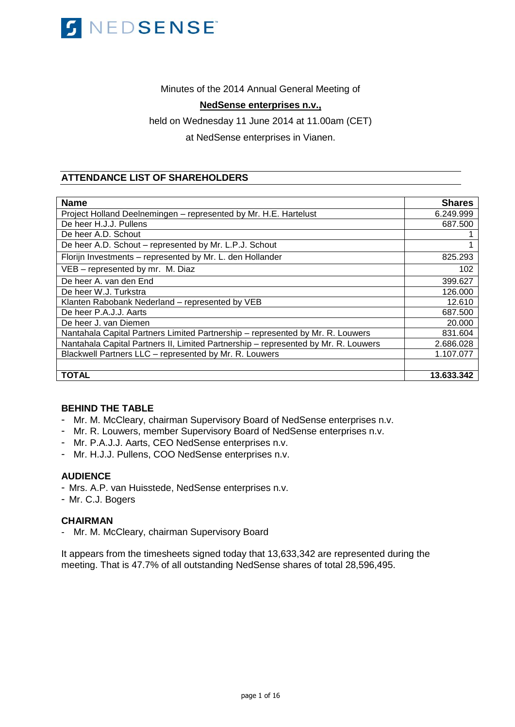

# Minutes of the 2014 Annual General Meeting of

# **NedSense enterprises n.v.,**

held on Wednesday 11 June 2014 at 11.00am (CET)

at NedSense enterprises in Vianen.

# **ATTENDANCE LIST OF SHAREHOLDERS**

| <b>Name</b>                                                                        | <b>Shares</b> |
|------------------------------------------------------------------------------------|---------------|
| Project Holland Deelnemingen - represented by Mr. H.E. Hartelust                   | 6.249.999     |
| De heer H.J.J. Pullens                                                             | 687.500       |
| De heer A.D. Schout                                                                |               |
| De heer A.D. Schout - represented by Mr. L.P.J. Schout                             |               |
| Florijn Investments - represented by Mr. L. den Hollander                          | 825.293       |
| VEB - represented by mr. M. Diaz                                                   | 102           |
| De heer A, van den End                                                             | 399.627       |
| De heer W.J. Turkstra                                                              | 126.000       |
| Klanten Rabobank Nederland - represented by VEB                                    | 12.610        |
| De heer P.A.J.J. Aarts                                                             | 687.500       |
| De heer J. van Diemen                                                              | 20.000        |
| Nantahala Capital Partners Limited Partnership - represented by Mr. R. Louwers     | 831.604       |
| Nantahala Capital Partners II, Limited Partnership - represented by Mr. R. Louwers | 2.686.028     |
| Blackwell Partners LLC - represented by Mr. R. Louwers                             | 1.107.077     |
|                                                                                    |               |
| TOTAL                                                                              | 13.633.342    |

# **BEHIND THE TABLE**

- Mr. M. McCleary, chairman Supervisory Board of NedSense enterprises n.v.
- Mr. R. Louwers, member Supervisory Board of NedSense enterprises n.v.
- Mr. P.A.J.J. Aarts, CEO NedSense enterprises n.v.
- Mr. H.J.J. Pullens, COO NedSense enterprises n.v.

# **AUDIENCE**

- Mrs. A.P. van Huisstede, NedSense enterprises n.v.
- Mr. C.J. Bogers

# **CHAIRMAN**

- Mr. M. McCleary, chairman Supervisory Board

It appears from the timesheets signed today that 13,633,342 are represented during the meeting. That is 47.7% of all outstanding NedSense shares of total 28,596,495.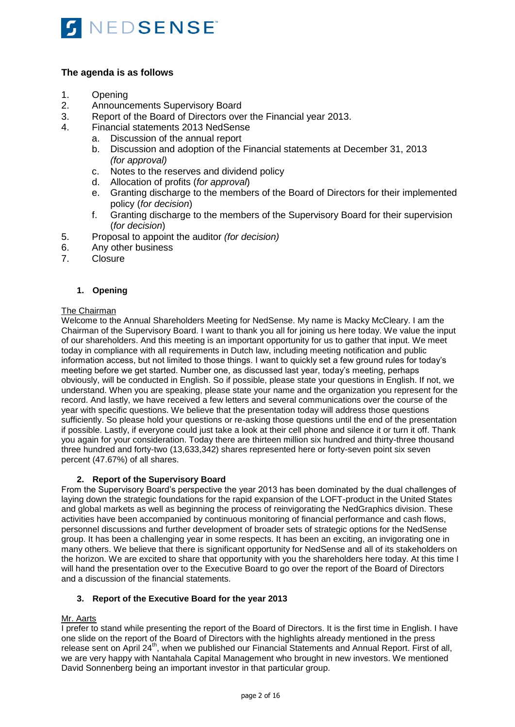

# **The agenda is as follows**

- 1. Opening
- 2. Announcements Supervisory Board
- 3. Report of the Board of Directors over the Financial year 2013.<br>4. Einancial statements 2013 NedSense
- 4. Financial statements 2013 NedSense
	- a. Discussion of the annual report
	- b. Discussion and adoption of the Financial statements at December 31, 2013 *(for approval)*
	- c. Notes to the reserves and dividend policy
	- d. Allocation of profits (*for approval*)
	- e. Granting discharge to the members of the Board of Directors for their implemented policy (*for decision*)
	- f. Granting discharge to the members of the Supervisory Board for their supervision (*for decision*)
- 5. Proposal to appoint the auditor *(for decision)*
- 6. Any other business
- 7. Closure

# **1. Opening**

# The Chairman

Welcome to the Annual Shareholders Meeting for NedSense. My name is Macky McCleary. I am the Chairman of the Supervisory Board. I want to thank you all for joining us here today. We value the input of our shareholders. And this meeting is an important opportunity for us to gather that input. We meet today in compliance with all requirements in Dutch law, including meeting notification and public information access, but not limited to those things. I want to quickly set a few ground rules for today's meeting before we get started. Number one, as discussed last year, today's meeting, perhaps obviously, will be conducted in English. So if possible, please state your questions in English. If not, we understand. When you are speaking, please state your name and the organization you represent for the record. And lastly, we have received a few letters and several communications over the course of the year with specific questions. We believe that the presentation today will address those questions sufficiently. So please hold your questions or re-asking those questions until the end of the presentation if possible. Lastly, if everyone could just take a look at their cell phone and silence it or turn it off. Thank you again for your consideration. Today there are thirteen million six hundred and thirty-three thousand three hundred and forty-two (13,633,342) shares represented here or forty-seven point six seven percent (47.67%) of all shares.

# **2. Report of the Supervisory Board**

From the Supervisory Board's perspective the year 2013 has been dominated by the dual challenges of laying down the strategic foundations for the rapid expansion of the LOFT-product in the United States and global markets as well as beginning the process of reinvigorating the NedGraphics division. These activities have been accompanied by continuous monitoring of financial performance and cash flows, personnel discussions and further development of broader sets of strategic options for the NedSense group. It has been a challenging year in some respects. It has been an exciting, an invigorating one in many others. We believe that there is significant opportunity for NedSense and all of its stakeholders on the horizon. We are excited to share that opportunity with you the shareholders here today. At this time I will hand the presentation over to the Executive Board to go over the report of the Board of Directors and a discussion of the financial statements.

# **3. Report of the Executive Board for the year 2013**

# Mr. Aarts

I prefer to stand while presenting the report of the Board of Directors. It is the first time in English. I have one slide on the report of the Board of Directors with the highlights already mentioned in the press release sent on April 24<sup>th</sup>, when we published our Financial Statements and Annual Report. First of all, we are very happy with Nantahala Capital Management who brought in new investors. We mentioned David Sonnenberg being an important investor in that particular group.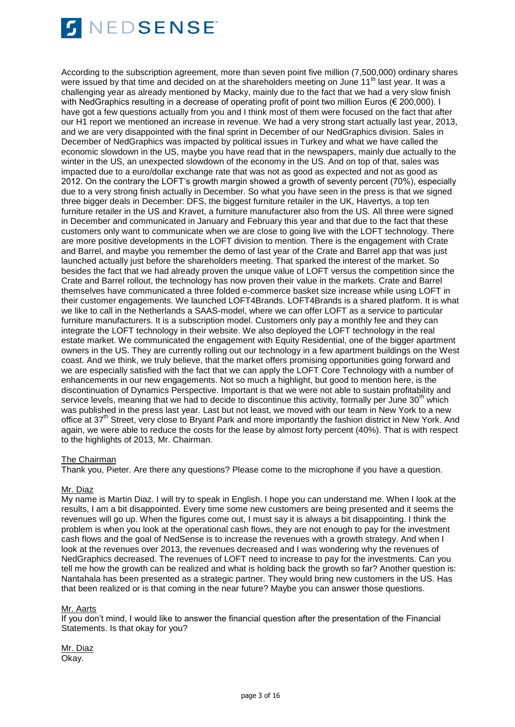

According to the subscription agreement, more than seven point five million (7,500,000) ordinary shares were issued by that time and decided on at the shareholders meeting on June 11<sup>th</sup> last year. It was a challenging year as already mentioned by Macky, mainly due to the fact that we had a very slow finish with NedGraphics resulting in a decrease of operating profit of point two million Euros (€ 200,000). I have got a few questions actually from you and I think most of them were focused on the fact that after our H1 report we mentioned an increase in revenue. We had a very strong start actually last year, 2013, and we are very disappointed with the final sprint in December of our NedGraphics division. Sales in December of NedGraphics was impacted by political issues in Turkey and what we have called the economic slowdown in the US, maybe you have read that in the newspapers, mainly due actually to the winter in the US, an unexpected slowdown of the economy in the US. And on top of that, sales was impacted due to a euro/dollar exchange rate that was not as good as expected and not as good as 2012. On the contrary the LOFT's growth margin showed a growth of seventy percent (70%), especially due to a very strong finish actually in December. So what you have seen in the press is that we signed three bigger deals in December: DFS, the biggest furniture retailer in the UK, Havertys, a top ten furniture retailer in the US and Kravet, a furniture manufacturer also from the US. All three were signed in December and communicated in January and February this year and that due to the fact that these customers only want to communicate when we are close to going live with the LOFT technology. There are more positive developments in the LOFT division to mention. There is the engagement with Crate and Barrel, and maybe you remember the demo of last year of the Crate and Barrel app that was just launched actually just before the shareholders meeting. That sparked the interest of the market. So besides the fact that we had already proven the unique value of LOFT versus the competition since the Crate and Barrel rollout, the technology has now proven their value in the markets. Crate and Barrel themselves have communicated a three folded e-commerce basket size increase while using LOFT in their customer engagements. We launched LOFT4Brands. LOFT4Brands is a shared platform. It is what we like to call in the Netherlands a SAAS-model, where we can offer LOFT as a service to particular furniture manufacturers. It is a subscription model. Customers only pay a monthly fee and they can integrate the LOFT technology in their website. We also deployed the LOFT technology in the real estate market. We communicated the engagement with Equity Residential, one of the bigger apartment owners in the US. They are currently rolling out our technology in a few apartment buildings on the West coast. And we think, we truly believe, that the market offers promising opportunities going forward and we are especially satisfied with the fact that we can apply the LOFT Core Technology with a number of enhancements in our new engagements. Not so much a highlight, but good to mention here, is the discontinuation of Dynamics Perspective. Important is that we were not able to sustain profitability and service levels, meaning that we had to decide to discontinue this activity, formally per June 30<sup>th</sup> which was published in the press last year. Last but not least, we moved with our team in New York to a new office at 37<sup>th</sup> Street, very close to Bryant Park and more importantly the fashion district in New York. And again, we were able to reduce the costs for the lease by almost forty percent (40%). That is with respect to the highlights of 2013, Mr. Chairman.

#### The Chairman

Thank you, Pieter. Are there any questions? Please come to the microphone if you have a question.

# Mr. Diaz

My name is Martin Diaz. I will try to speak in English. I hope you can understand me. When I look at the results, I am a bit disappointed. Every time some new customers are being presented and it seems the revenues will go up. When the figures come out, I must say it is always a bit disappointing. I think the problem is when you look at the operational cash flows, they are not enough to pay for the investment cash flows and the goal of NedSense is to increase the revenues with a growth strategy. And when I look at the revenues over 2013, the revenues decreased and I was wondering why the revenues of NedGraphics decreased. The revenues of LOFT need to increase to pay for the investments. Can you tell me how the growth can be realized and what is holding back the growth so far? Another question is: Nantahala has been presented as a strategic partner. They would bring new customers in the US. Has that been realized or is that coming in the near future? Maybe you can answer those questions.

#### Mr. Aarts

If you don't mind, I would like to answer the financial question after the presentation of the Financial Statements. Is that okay for you?

Mr. Diaz Okay.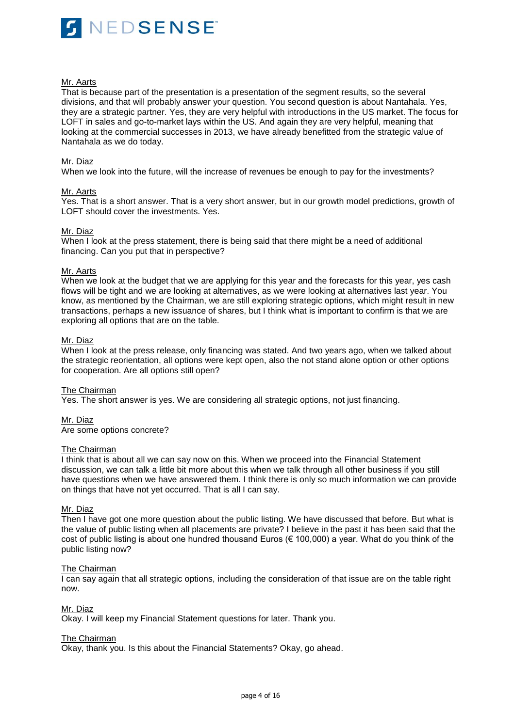

### Mr. Aarts

That is because part of the presentation is a presentation of the segment results, so the several divisions, and that will probably answer your question. You second question is about Nantahala. Yes, they are a strategic partner. Yes, they are very helpful with introductions in the US market. The focus for LOFT in sales and go-to-market lays within the US. And again they are very helpful, meaning that looking at the commercial successes in 2013, we have already benefitted from the strategic value of Nantahala as we do today.

### Mr. Diaz

When we look into the future, will the increase of revenues be enough to pay for the investments?

### Mr. Aarts

Yes. That is a short answer. That is a very short answer, but in our growth model predictions, growth of LOFT should cover the investments. Yes.

### Mr. Diaz

When I look at the press statement, there is being said that there might be a need of additional financing. Can you put that in perspective?

#### Mr. Aarts

When we look at the budget that we are applying for this year and the forecasts for this year, yes cash flows will be tight and we are looking at alternatives, as we were looking at alternatives last year. You know, as mentioned by the Chairman, we are still exploring strategic options, which might result in new transactions, perhaps a new issuance of shares, but I think what is important to confirm is that we are exploring all options that are on the table.

# Mr. Diaz

When I look at the press release, only financing was stated. And two years ago, when we talked about the strategic reorientation, all options were kept open, also the not stand alone option or other options for cooperation. Are all options still open?

#### The Chairman

Yes. The short answer is yes. We are considering all strategic options, not just financing.

#### Mr. Diaz

Are some options concrete?

### The Chairman

I think that is about all we can say now on this. When we proceed into the Financial Statement discussion, we can talk a little bit more about this when we talk through all other business if you still have questions when we have answered them. I think there is only so much information we can provide on things that have not yet occurred. That is all I can say.

#### Mr. Diaz

Then I have got one more question about the public listing. We have discussed that before. But what is the value of public listing when all placements are private? I believe in the past it has been said that the cost of public listing is about one hundred thousand Euros ( $\epsilon$  100,000) a year. What do you think of the public listing now?

#### The Chairman

I can say again that all strategic options, including the consideration of that issue are on the table right now.

## Mr. Diaz

Okay. I will keep my Financial Statement questions for later. Thank you.

#### The Chairman

Okay, thank you. Is this about the Financial Statements? Okay, go ahead.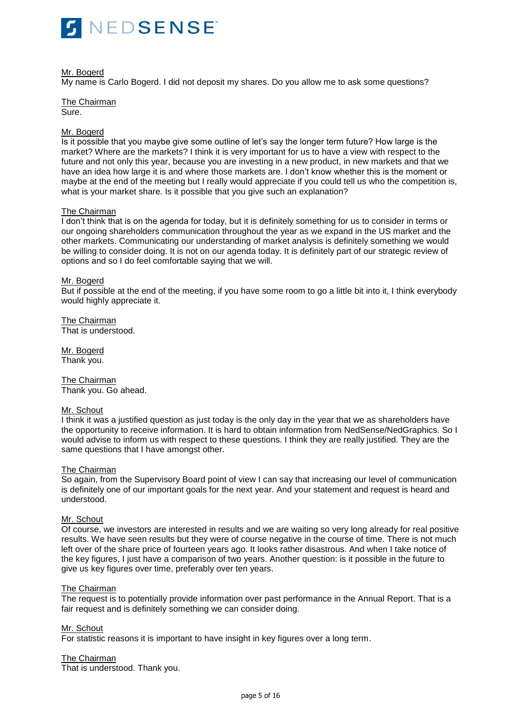

# Mr. Bogerd

My name is Carlo Bogerd. I did not deposit my shares. Do you allow me to ask some questions?

The Chairman Sure.

# Mr. Bogerd

Is it possible that you maybe give some outline of let's say the longer term future? How large is the market? Where are the markets? I think it is very important for us to have a view with respect to the future and not only this year, because you are investing in a new product, in new markets and that we have an idea how large it is and where those markets are. I don't know whether this is the moment or maybe at the end of the meeting but I really would appreciate if you could tell us who the competition is, what is your market share. Is it possible that you give such an explanation?

# The Chairman

I don't think that is on the agenda for today, but it is definitely something for us to consider in terms or our ongoing shareholders communication throughout the year as we expand in the US market and the other markets. Communicating our understanding of market analysis is definitely something we would be willing to consider doing. It is not on our agenda today. It is definitely part of our strategic review of options and so I do feel comfortable saying that we will.

### Mr. Bogerd

But if possible at the end of the meeting, if you have some room to go a little bit into it, I think everybody would highly appreciate it.

The Chairman That is understood.

Mr. Bogerd Thank you.

The Chairman Thank you. Go ahead.

#### Mr. Schout

I think it was a justified question as just today is the only day in the year that we as shareholders have the opportunity to receive information. It is hard to obtain information from NedSense/NedGraphics. So I would advise to inform us with respect to these questions. I think they are really justified. They are the same questions that I have amongst other.

#### The Chairman

So again, from the Supervisory Board point of view I can say that increasing our level of communication is definitely one of our important goals for the next year. And your statement and request is heard and understood.

### Mr. Schout

Of course, we investors are interested in results and we are waiting so very long already for real positive results. We have seen results but they were of course negative in the course of time. There is not much left over of the share price of fourteen years ago. It looks rather disastrous. And when I take notice of the key figures, I just have a comparison of two years. Another question: is it possible in the future to give us key figures over time, preferably over ten years.

#### The Chairman

The request is to potentially provide information over past performance in the Annual Report. That is a fair request and is definitely something we can consider doing.

# Mr. Schout

For statistic reasons it is important to have insight in key figures over a long term.

# The Chairman

That is understood. Thank you.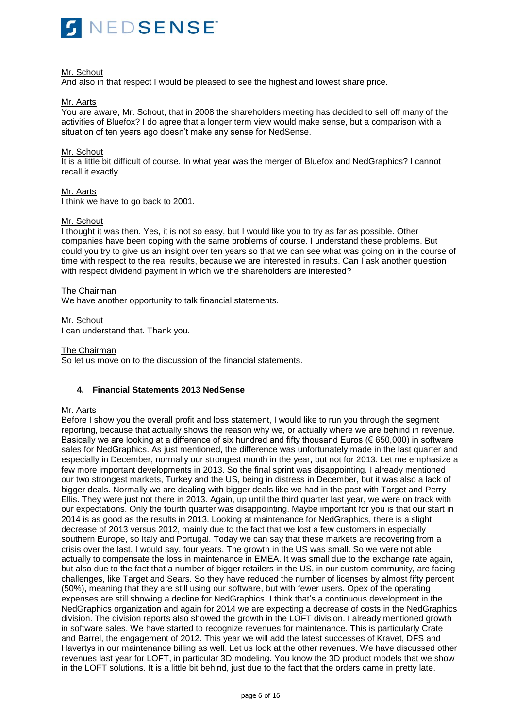

## Mr. Schout

And also in that respect I would be pleased to see the highest and lowest share price.

### Mr. Aarts

You are aware, Mr. Schout, that in 2008 the shareholders meeting has decided to sell off many of the activities of Bluefox? I do agree that a longer term view would make sense, but a comparison with a situation of ten years ago doesn't make any sense for NedSense.

### Mr. Schout

It is a little bit difficult of course. In what year was the merger of Bluefox and NedGraphics? I cannot recall it exactly.

### Mr. Aarts

I think we have to go back to 2001.

### Mr. Schout

I thought it was then. Yes, it is not so easy, but I would like you to try as far as possible. Other companies have been coping with the same problems of course. I understand these problems. But could you try to give us an insight over ten years so that we can see what was going on in the course of time with respect to the real results, because we are interested in results. Can I ask another question with respect dividend payment in which we the shareholders are interested?

### The Chairman

We have another opportunity to talk financial statements.

### Mr. Schout

I can understand that. Thank you.

### The Chairman

So let us move on to the discussion of the financial statements.

# **4. Financial Statements 2013 NedSense**

# Mr. Aarts

Before I show you the overall profit and loss statement, I would like to run you through the segment reporting, because that actually shows the reason why we, or actually where we are behind in revenue. Basically we are looking at a difference of six hundred and fifty thousand Euros (€ 650,000) in software sales for NedGraphics. As just mentioned, the difference was unfortunately made in the last quarter and especially in December, normally our strongest month in the year, but not for 2013. Let me emphasize a few more important developments in 2013. So the final sprint was disappointing. I already mentioned our two strongest markets, Turkey and the US, being in distress in December, but it was also a lack of bigger deals. Normally we are dealing with bigger deals like we had in the past with Target and Perry Ellis. They were just not there in 2013. Again, up until the third quarter last year, we were on track with our expectations. Only the fourth quarter was disappointing. Maybe important for you is that our start in 2014 is as good as the results in 2013. Looking at maintenance for NedGraphics, there is a slight decrease of 2013 versus 2012, mainly due to the fact that we lost a few customers in especially southern Europe, so Italy and Portugal. Today we can say that these markets are recovering from a crisis over the last, I would say, four years. The growth in the US was small. So we were not able actually to compensate the loss in maintenance in EMEA. It was small due to the exchange rate again, but also due to the fact that a number of bigger retailers in the US, in our custom community, are facing challenges, like Target and Sears. So they have reduced the number of licenses by almost fifty percent (50%), meaning that they are still using our software, but with fewer users. Opex of the operating expenses are still showing a decline for NedGraphics. I think that's a continuous development in the NedGraphics organization and again for 2014 we are expecting a decrease of costs in the NedGraphics division. The division reports also showed the growth in the LOFT division. I already mentioned growth in software sales. We have started to recognize revenues for maintenance. This is particularly Crate and Barrel, the engagement of 2012. This year we will add the latest successes of Kravet, DFS and Havertys in our maintenance billing as well. Let us look at the other revenues. We have discussed other revenues last year for LOFT, in particular 3D modeling. You know the 3D product models that we show in the LOFT solutions. It is a little bit behind, just due to the fact that the orders came in pretty late.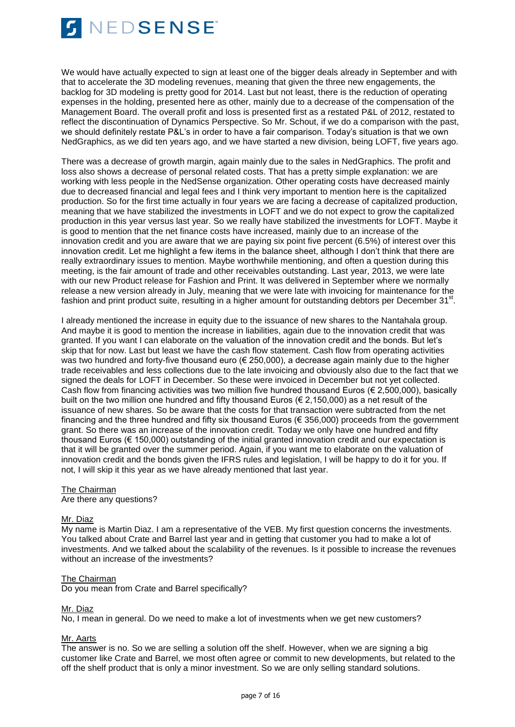

We would have actually expected to sign at least one of the bigger deals already in September and with that to accelerate the 3D modeling revenues, meaning that given the three new engagements, the backlog for 3D modeling is pretty good for 2014. Last but not least, there is the reduction of operating expenses in the holding, presented here as other, mainly due to a decrease of the compensation of the Management Board. The overall profit and loss is presented first as a restated P&L of 2012, restated to reflect the discontinuation of Dynamics Perspective. So Mr. Schout, if we do a comparison with the past, we should definitely restate P&L's in order to have a fair comparison. Today's situation is that we own NedGraphics, as we did ten years ago, and we have started a new division, being LOFT, five years ago.

There was a decrease of growth margin, again mainly due to the sales in NedGraphics. The profit and loss also shows a decrease of personal related costs. That has a pretty simple explanation: we are working with less people in the NedSense organization. Other operating costs have decreased mainly due to decreased financial and legal fees and I think very important to mention here is the capitalized production. So for the first time actually in four years we are facing a decrease of capitalized production, meaning that we have stabilized the investments in LOFT and we do not expect to grow the capitalized production in this year versus last year. So we really have stabilized the investments for LOFT. Maybe it is good to mention that the net finance costs have increased, mainly due to an increase of the innovation credit and you are aware that we are paying six point five percent (6.5%) of interest over this innovation credit. Let me highlight a few items in the balance sheet, although I don't think that there are really extraordinary issues to mention. Maybe worthwhile mentioning, and often a question during this meeting, is the fair amount of trade and other receivables outstanding. Last year, 2013, we were late with our new Product release for Fashion and Print. It was delivered in September where we normally release a new version already in July, meaning that we were late with invoicing for maintenance for the fashion and print product suite, resulting in a higher amount for outstanding debtors per December 31<sup>st</sup>.

I already mentioned the increase in equity due to the issuance of new shares to the Nantahala group. And maybe it is good to mention the increase in liabilities, again due to the innovation credit that was granted. If you want I can elaborate on the valuation of the innovation credit and the bonds. But let's skip that for now. Last but least we have the cash flow statement. Cash flow from operating activities was two hundred and forty-five thousand euro (€ 250,000), a decrease again mainly due to the higher trade receivables and less collections due to the late invoicing and obviously also due to the fact that we signed the deals for LOFT in December. So these were invoiced in December but not yet collected. Cash flow from financing activities was two million five hundred thousand Euros ( $\epsilon$  2,500,000), basically built on the two million one hundred and fifty thousand Euros ( $\in$  2,150,000) as a net result of the issuance of new shares. So be aware that the costs for that transaction were subtracted from the net financing and the three hundred and fifty six thousand Euros (€ 356,000) proceeds from the government grant. So there was an increase of the innovation credit. Today we only have one hundred and fifty thousand Euros (€ 150,000) outstanding of the initial granted innovation credit and our expectation is that it will be granted over the summer period. Again, if you want me to elaborate on the valuation of innovation credit and the bonds given the IFRS rules and legislation, I will be happy to do it for you. If not, I will skip it this year as we have already mentioned that last year.

### The Chairman

Are there any questions?

#### Mr. Diaz

My name is Martin Diaz. I am a representative of the VEB. My first question concerns the investments. You talked about Crate and Barrel last year and in getting that customer you had to make a lot of investments. And we talked about the scalability of the revenues. Is it possible to increase the revenues without an increase of the investments?

#### The Chairman

Do you mean from Crate and Barrel specifically?

# Mr. Diaz

No, I mean in general. Do we need to make a lot of investments when we get new customers?

# Mr. Aarts

The answer is no. So we are selling a solution off the shelf. However, when we are signing a big customer like Crate and Barrel, we most often agree or commit to new developments, but related to the off the shelf product that is only a minor investment. So we are only selling standard solutions.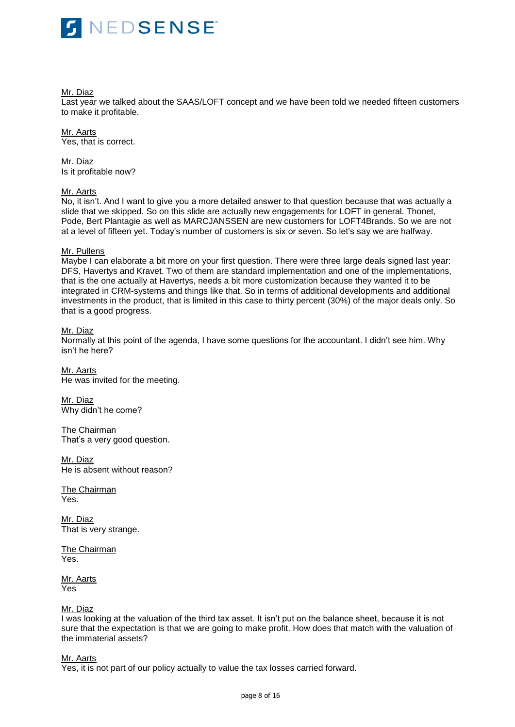

Mr. Diaz

Last year we talked about the SAAS/LOFT concept and we have been told we needed fifteen customers to make it profitable.

Mr. Aarts Yes, that is correct.

Mr. Diaz Is it profitable now?

### Mr. Aarts

No, it isn't. And I want to give you a more detailed answer to that question because that was actually a slide that we skipped. So on this slide are actually new engagements for LOFT in general. Thonet, Pode, Bert Plantagie as well as MARCJANSSEN are new customers for LOFT4Brands. So we are not at a level of fifteen yet. Today's number of customers is six or seven. So let's say we are halfway.

### Mr. Pullens

Maybe I can elaborate a bit more on your first question. There were three large deals signed last year: DFS, Havertys and Kravet. Two of them are standard implementation and one of the implementations, that is the one actually at Havertys, needs a bit more customization because they wanted it to be integrated in CRM-systems and things like that. So in terms of additional developments and additional investments in the product, that is limited in this case to thirty percent (30%) of the major deals only. So that is a good progress.

### Mr. Diaz

Normally at this point of the agenda, I have some questions for the accountant. I didn't see him. Why isn't he here?

Mr. Aarts He was invited for the meeting.

Mr. Diaz Why didn't he come?

The Chairman That's a very good question.

Mr. Diaz He is absent without reason?

The Chairman Yes.

Mr. Diaz That is very strange.

The Chairman Yes.

Mr. Aarts Yes

# Mr. Diaz

I was looking at the valuation of the third tax asset. It isn't put on the balance sheet, because it is not sure that the expectation is that we are going to make profit. How does that match with the valuation of the immaterial assets?

Mr. Aarts

Yes, it is not part of our policy actually to value the tax losses carried forward.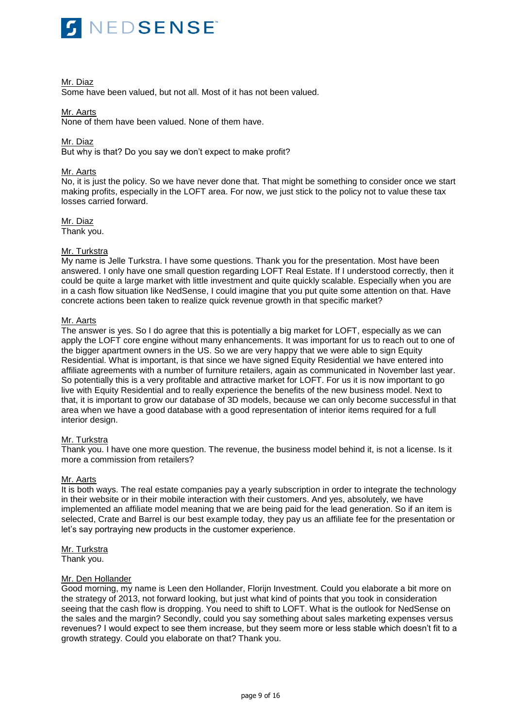

### Mr. Diaz

Some have been valued, but not all. Most of it has not been valued.

# Mr. Aarts

None of them have been valued. None of them have.

### Mr. Diaz

But why is that? Do you say we don't expect to make profit?

### Mr. Aarts

No, it is just the policy. So we have never done that. That might be something to consider once we start making profits, especially in the LOFT area. For now, we just stick to the policy not to value these tax losses carried forward.

Mr. Diaz Thank you.

### Mr. Turkstra

My name is Jelle Turkstra. I have some questions. Thank you for the presentation. Most have been answered. I only have one small question regarding LOFT Real Estate. If I understood correctly, then it could be quite a large market with little investment and quite quickly scalable. Especially when you are in a cash flow situation like NedSense, I could imagine that you put quite some attention on that. Have concrete actions been taken to realize quick revenue growth in that specific market?

# Mr. Aarts

The answer is yes. So I do agree that this is potentially a big market for LOFT, especially as we can apply the LOFT core engine without many enhancements. It was important for us to reach out to one of the bigger apartment owners in the US. So we are very happy that we were able to sign Equity Residential. What is important, is that since we have signed Equity Residential we have entered into affiliate agreements with a number of furniture retailers, again as communicated in November last year. So potentially this is a very profitable and attractive market for LOFT. For us it is now important to go live with Equity Residential and to really experience the benefits of the new business model. Next to that, it is important to grow our database of 3D models, because we can only become successful in that area when we have a good database with a good representation of interior items required for a full interior design.

# Mr. Turkstra

Thank you. I have one more question. The revenue, the business model behind it, is not a license. Is it more a commission from retailers?

#### Mr. Aarts

It is both ways. The real estate companies pay a yearly subscription in order to integrate the technology in their website or in their mobile interaction with their customers. And yes, absolutely, we have implemented an affiliate model meaning that we are being paid for the lead generation. So if an item is selected, Crate and Barrel is our best example today, they pay us an affiliate fee for the presentation or let's say portraying new products in the customer experience.

Mr. Turkstra Thank you.

# Mr. Den Hollander

Good morning, my name is Leen den Hollander, Florijn Investment. Could you elaborate a bit more on the strategy of 2013, not forward looking, but just what kind of points that you took in consideration seeing that the cash flow is dropping. You need to shift to LOFT. What is the outlook for NedSense on the sales and the margin? Secondly, could you say something about sales marketing expenses versus revenues? I would expect to see them increase, but they seem more or less stable which doesn't fit to a growth strategy. Could you elaborate on that? Thank you.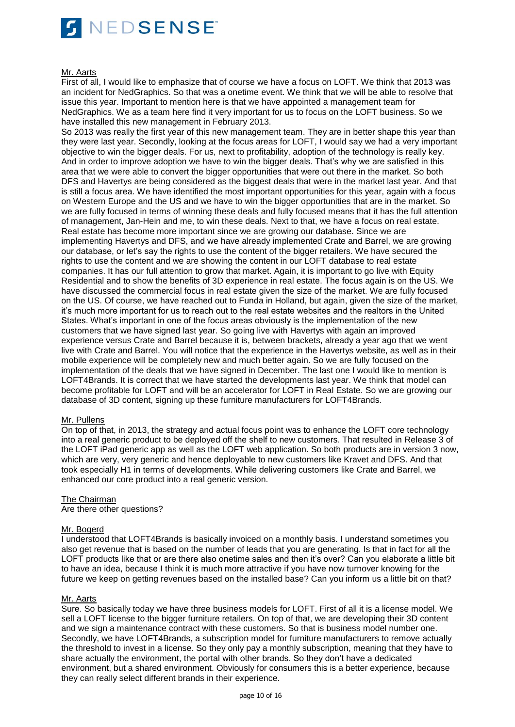

### Mr. Aarts

First of all, I would like to emphasize that of course we have a focus on LOFT. We think that 2013 was an incident for NedGraphics. So that was a onetime event. We think that we will be able to resolve that issue this year. Important to mention here is that we have appointed a management team for NedGraphics. We as a team here find it very important for us to focus on the LOFT business. So we have installed this new management in February 2013.

So 2013 was really the first year of this new management team. They are in better shape this year than they were last year. Secondly, looking at the focus areas for LOFT, I would say we had a very important objective to win the bigger deals. For us, next to profitability, adoption of the technology is really key. And in order to improve adoption we have to win the bigger deals. That's why we are satisfied in this area that we were able to convert the bigger opportunities that were out there in the market. So both DFS and Havertys are being considered as the biggest deals that were in the market last year. And that is still a focus area. We have identified the most important opportunities for this year, again with a focus on Western Europe and the US and we have to win the bigger opportunities that are in the market. So we are fully focused in terms of winning these deals and fully focused means that it has the full attention of management, Jan-Hein and me, to win these deals. Next to that, we have a focus on real estate. Real estate has become more important since we are growing our database. Since we are implementing Havertys and DFS, and we have already implemented Crate and Barrel, we are growing our database, or let's say the rights to use the content of the bigger retailers. We have secured the rights to use the content and we are showing the content in our LOFT database to real estate companies. It has our full attention to grow that market. Again, it is important to go live with Equity Residential and to show the benefits of 3D experience in real estate. The focus again is on the US. We have discussed the commercial focus in real estate given the size of the market. We are fully focused on the US. Of course, we have reached out to Funda in Holland, but again, given the size of the market, it's much more important for us to reach out to the real estate websites and the realtors in the United States. What's important in one of the focus areas obviously is the implementation of the new customers that we have signed last year. So going live with Havertys with again an improved experience versus Crate and Barrel because it is, between brackets, already a year ago that we went live with Crate and Barrel. You will notice that the experience in the Havertys website, as well as in their mobile experience will be completely new and much better again. So we are fully focused on the implementation of the deals that we have signed in December. The last one I would like to mention is LOFT4Brands. It is correct that we have started the developments last year. We think that model can become profitable for LOFT and will be an accelerator for LOFT in Real Estate. So we are growing our database of 3D content, signing up these furniture manufacturers for LOFT4Brands.

# Mr. Pullens

On top of that, in 2013, the strategy and actual focus point was to enhance the LOFT core technology into a real generic product to be deployed off the shelf to new customers. That resulted in Release 3 of the LOFT iPad generic app as well as the LOFT web application. So both products are in version 3 now, which are very, very generic and hence deployable to new customers like Kravet and DFS. And that took especially H1 in terms of developments. While delivering customers like Crate and Barrel, we enhanced our core product into a real generic version.

# The Chairman

Are there other questions?

# Mr. Bogerd

I understood that LOFT4Brands is basically invoiced on a monthly basis. I understand sometimes you also get revenue that is based on the number of leads that you are generating. Is that in fact for all the LOFT products like that or are there also onetime sales and then it's over? Can you elaborate a little bit to have an idea, because I think it is much more attractive if you have now turnover knowing for the future we keep on getting revenues based on the installed base? Can you inform us a little bit on that?

#### Mr. Aarts

Sure. So basically today we have three business models for LOFT. First of all it is a license model. We sell a LOFT license to the bigger furniture retailers. On top of that, we are developing their 3D content and we sign a maintenance contract with these customers. So that is business model number one. Secondly, we have LOFT4Brands, a subscription model for furniture manufacturers to remove actually the threshold to invest in a license. So they only pay a monthly subscription, meaning that they have to share actually the environment, the portal with other brands. So they don't have a dedicated environment, but a shared environment. Obviously for consumers this is a better experience, because they can really select different brands in their experience.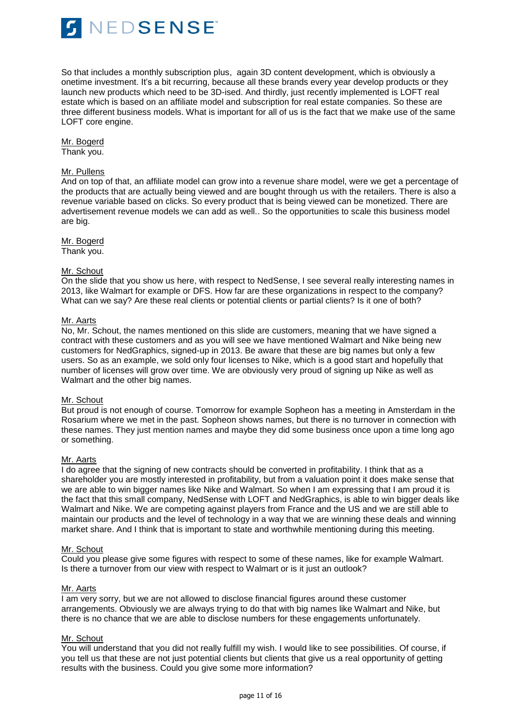

So that includes a monthly subscription plus, again 3D content development, which is obviously a onetime investment. It's a bit recurring, because all these brands every year develop products or they launch new products which need to be 3D-ised. And thirdly, just recently implemented is LOFT real estate which is based on an affiliate model and subscription for real estate companies. So these are three different business models. What is important for all of us is the fact that we make use of the same LOFT core engine.

Mr. Bogerd Thank you.

### Mr. Pullens

And on top of that, an affiliate model can grow into a revenue share model, were we get a percentage of the products that are actually being viewed and are bought through us with the retailers. There is also a revenue variable based on clicks. So every product that is being viewed can be monetized. There are advertisement revenue models we can add as well.. So the opportunities to scale this business model are big.

# Mr. Bogerd

Thank you.

### Mr. Schout

On the slide that you show us here, with respect to NedSense, I see several really interesting names in 2013, like Walmart for example or DFS. How far are these organizations in respect to the company? What can we say? Are these real clients or potential clients or partial clients? Is it one of both?

### Mr. Aarts

No, Mr. Schout, the names mentioned on this slide are customers, meaning that we have signed a contract with these customers and as you will see we have mentioned Walmart and Nike being new customers for NedGraphics, signed-up in 2013. Be aware that these are big names but only a few users. So as an example, we sold only four licenses to Nike, which is a good start and hopefully that number of licenses will grow over time. We are obviously very proud of signing up Nike as well as Walmart and the other big names.

#### Mr. Schout

But proud is not enough of course. Tomorrow for example Sopheon has a meeting in Amsterdam in the Rosarium where we met in the past. Sopheon shows names, but there is no turnover in connection with these names. They just mention names and maybe they did some business once upon a time long ago or something.

# Mr. Aarts

I do agree that the signing of new contracts should be converted in profitability. I think that as a shareholder you are mostly interested in profitability, but from a valuation point it does make sense that we are able to win bigger names like Nike and Walmart. So when I am expressing that I am proud it is the fact that this small company, NedSense with LOFT and NedGraphics, is able to win bigger deals like Walmart and Nike. We are competing against players from France and the US and we are still able to maintain our products and the level of technology in a way that we are winning these deals and winning market share. And I think that is important to state and worthwhile mentioning during this meeting.

#### Mr. Schout

Could you please give some figures with respect to some of these names, like for example Walmart. Is there a turnover from our view with respect to Walmart or is it just an outlook?

# Mr. Aarts

I am very sorry, but we are not allowed to disclose financial figures around these customer arrangements. Obviously we are always trying to do that with big names like Walmart and Nike, but there is no chance that we are able to disclose numbers for these engagements unfortunately.

# Mr. Schout

You will understand that you did not really fulfill my wish. I would like to see possibilities. Of course, if you tell us that these are not just potential clients but clients that give us a real opportunity of getting results with the business. Could you give some more information?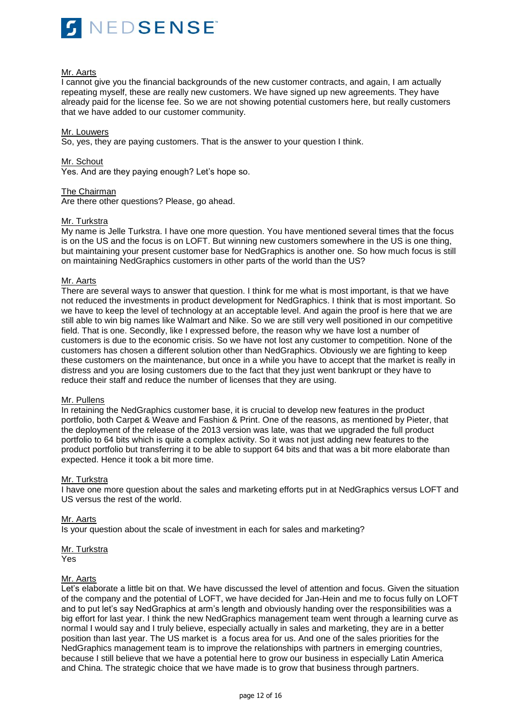

## Mr. Aarts

I cannot give you the financial backgrounds of the new customer contracts, and again, I am actually repeating myself, these are really new customers. We have signed up new agreements. They have already paid for the license fee. So we are not showing potential customers here, but really customers that we have added to our customer community.

#### Mr. Louwers

So, yes, they are paying customers. That is the answer to your question I think.

Mr. Schout

Yes. And are they paying enough? Let's hope so.

The Chairman

Are there other questions? Please, go ahead.

# Mr. Turkstra

My name is Jelle Turkstra. I have one more question. You have mentioned several times that the focus is on the US and the focus is on LOFT. But winning new customers somewhere in the US is one thing, but maintaining your present customer base for NedGraphics is another one. So how much focus is still on maintaining NedGraphics customers in other parts of the world than the US?

### Mr. Aarts

There are several ways to answer that question. I think for me what is most important, is that we have not reduced the investments in product development for NedGraphics. I think that is most important. So we have to keep the level of technology at an acceptable level. And again the proof is here that we are still able to win big names like Walmart and Nike. So we are still very well positioned in our competitive field. That is one. Secondly, like I expressed before, the reason why we have lost a number of customers is due to the economic crisis. So we have not lost any customer to competition. None of the customers has chosen a different solution other than NedGraphics. Obviously we are fighting to keep these customers on the maintenance, but once in a while you have to accept that the market is really in distress and you are losing customers due to the fact that they just went bankrupt or they have to reduce their staff and reduce the number of licenses that they are using.

#### Mr. Pullens

In retaining the NedGraphics customer base, it is crucial to develop new features in the product portfolio, both Carpet & Weave and Fashion & Print. One of the reasons, as mentioned by Pieter, that the deployment of the release of the 2013 version was late, was that we upgraded the full product portfolio to 64 bits which is quite a complex activity. So it was not just adding new features to the product portfolio but transferring it to be able to support 64 bits and that was a bit more elaborate than expected. Hence it took a bit more time.

#### Mr. Turkstra

I have one more question about the sales and marketing efforts put in at NedGraphics versus LOFT and US versus the rest of the world.

#### Mr. Aarts

Is your question about the scale of investment in each for sales and marketing?

Mr. Turkstra

Yes

# Mr. Aarts

Let's elaborate a little bit on that. We have discussed the level of attention and focus. Given the situation of the company and the potential of LOFT, we have decided for Jan-Hein and me to focus fully on LOFT and to put let's say NedGraphics at arm's length and obviously handing over the responsibilities was a big effort for last year. I think the new NedGraphics management team went through a learning curve as normal I would say and I truly believe, especially actually in sales and marketing, they are in a better position than last year. The US market is a focus area for us. And one of the sales priorities for the NedGraphics management team is to improve the relationships with partners in emerging countries, because I still believe that we have a potential here to grow our business in especially Latin America and China. The strategic choice that we have made is to grow that business through partners.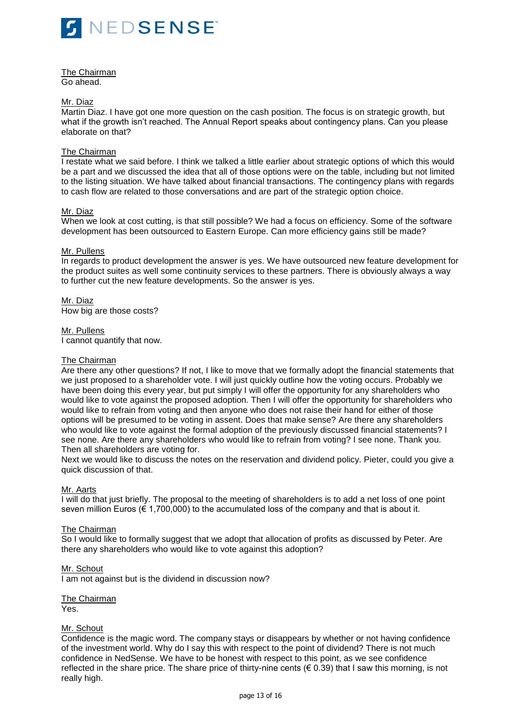

The Chairman Go ahead.

### Mr. Diaz

Martin Diaz. I have got one more question on the cash position. The focus is on strategic growth, but what if the growth isn't reached. The Annual Report speaks about contingency plans. Can you please elaborate on that?

### The Chairman

I restate what we said before. I think we talked a little earlier about strategic options of which this would be a part and we discussed the idea that all of those options were on the table, including but not limited to the listing situation. We have talked about financial transactions. The contingency plans with regards to cash flow are related to those conversations and are part of the strategic option choice.

### Mr. Diaz

When we look at cost cutting, is that still possible? We had a focus on efficiency. Some of the software development has been outsourced to Eastern Europe. Can more efficiency gains still be made?

### Mr. Pullens

In regards to product development the answer is yes. We have outsourced new feature development for the product suites as well some continuity services to these partners. There is obviously always a way to further cut the new feature developments. So the answer is yes.

Mr. Diaz How big are those costs?

### Mr. Pullens

I cannot quantify that now.

## The Chairman

Are there any other questions? If not, I like to move that we formally adopt the financial statements that we just proposed to a shareholder vote. I will just quickly outline how the voting occurs. Probably we have been doing this every year, but put simply I will offer the opportunity for any shareholders who would like to vote against the proposed adoption. Then I will offer the opportunity for shareholders who would like to refrain from voting and then anyone who does not raise their hand for either of those options will be presumed to be voting in assent. Does that make sense? Are there any shareholders who would like to vote against the formal adoption of the previously discussed financial statements? I see none. Are there any shareholders who would like to refrain from voting? I see none. Thank you. Then all shareholders are voting for.

Next we would like to discuss the notes on the reservation and dividend policy. Pieter, could you give a quick discussion of that.

#### Mr. Aarts

I will do that just briefly. The proposal to the meeting of shareholders is to add a net loss of one point seven million Euros (€ 1,700,000) to the accumulated loss of the company and that is about it.

# The Chairman

So I would like to formally suggest that we adopt that allocation of profits as discussed by Peter. Are there any shareholders who would like to vote against this adoption?

#### Mr. Schout

I am not against but is the dividend in discussion now?

The Chairman

Yes.

# Mr. Schout

Confidence is the magic word. The company stays or disappears by whether or not having confidence of the investment world. Why do I say this with respect to the point of dividend? There is not much confidence in NedSense. We have to be honest with respect to this point, as we see confidence reflected in the share price. The share price of thirty-nine cents ( $\epsilon$  0.39) that I saw this morning, is not really high.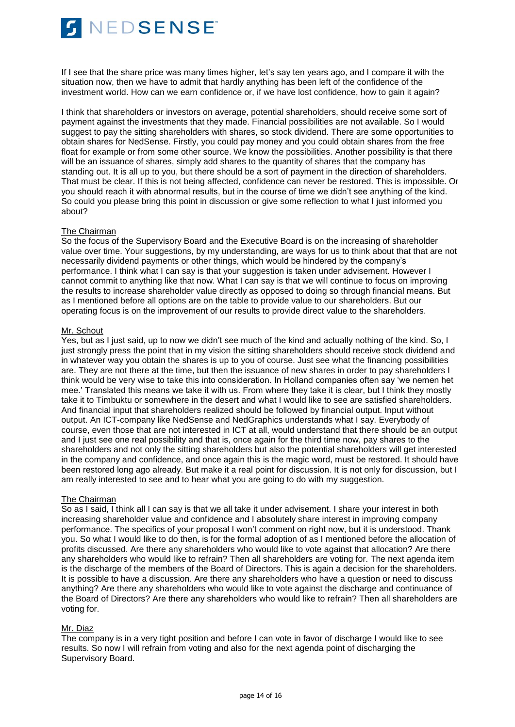

If I see that the share price was many times higher, let's say ten years ago, and I compare it with the situation now, then we have to admit that hardly anything has been left of the confidence of the investment world. How can we earn confidence or, if we have lost confidence, how to gain it again?

I think that shareholders or investors on average, potential shareholders, should receive some sort of payment against the investments that they made. Financial possibilities are not available. So I would suggest to pay the sitting shareholders with shares, so stock dividend. There are some opportunities to obtain shares for NedSense. Firstly, you could pay money and you could obtain shares from the free float for example or from some other source. We know the possibilities. Another possibility is that there will be an issuance of shares, simply add shares to the quantity of shares that the company has standing out. It is all up to you, but there should be a sort of payment in the direction of shareholders. That must be clear. If this is not being affected, confidence can never be restored. This is impossible. Or you should reach it with abnormal results, but in the course of time we didn't see anything of the kind. So could you please bring this point in discussion or give some reflection to what I just informed you about?

### The Chairman

So the focus of the Supervisory Board and the Executive Board is on the increasing of shareholder value over time. Your suggestions, by my understanding, are ways for us to think about that that are not necessarily dividend payments or other things, which would be hindered by the company's performance. I think what I can say is that your suggestion is taken under advisement. However I cannot commit to anything like that now. What I can say is that we will continue to focus on improving the results to increase shareholder value directly as opposed to doing so through financial means. But as I mentioned before all options are on the table to provide value to our shareholders. But our operating focus is on the improvement of our results to provide direct value to the shareholders.

### Mr. Schout

Yes, but as I just said, up to now we didn't see much of the kind and actually nothing of the kind. So, I just strongly press the point that in my vision the sitting shareholders should receive stock dividend and in whatever way you obtain the shares is up to you of course. Just see what the financing possibilities are. They are not there at the time, but then the issuance of new shares in order to pay shareholders I think would be very wise to take this into consideration. In Holland companies often say 'we nemen het mee.' Translated this means we take it with us. From where they take it is clear, but I think they mostly take it to Timbuktu or somewhere in the desert and what I would like to see are satisfied shareholders. And financial input that shareholders realized should be followed by financial output. Input without output. An ICT-company like NedSense and NedGraphics understands what I say. Everybody of course, even those that are not interested in ICT at all, would understand that there should be an output and I just see one real possibility and that is, once again for the third time now, pay shares to the shareholders and not only the sitting shareholders but also the potential shareholders will get interested in the company and confidence, and once again this is the magic word, must be restored. It should have been restored long ago already. But make it a real point for discussion. It is not only for discussion, but I am really interested to see and to hear what you are going to do with my suggestion.

#### The Chairman

So as I said, I think all I can say is that we all take it under advisement. I share your interest in both increasing shareholder value and confidence and I absolutely share interest in improving company performance. The specifics of your proposal I won't comment on right now, but it is understood. Thank you. So what I would like to do then, is for the formal adoption of as I mentioned before the allocation of profits discussed. Are there any shareholders who would like to vote against that allocation? Are there any shareholders who would like to refrain? Then all shareholders are voting for. The next agenda item is the discharge of the members of the Board of Directors. This is again a decision for the shareholders. It is possible to have a discussion. Are there any shareholders who have a question or need to discuss anything? Are there any shareholders who would like to vote against the discharge and continuance of the Board of Directors? Are there any shareholders who would like to refrain? Then all shareholders are voting for.

# Mr. Diaz

The company is in a very tight position and before I can vote in favor of discharge I would like to see results. So now I will refrain from voting and also for the next agenda point of discharging the Supervisory Board.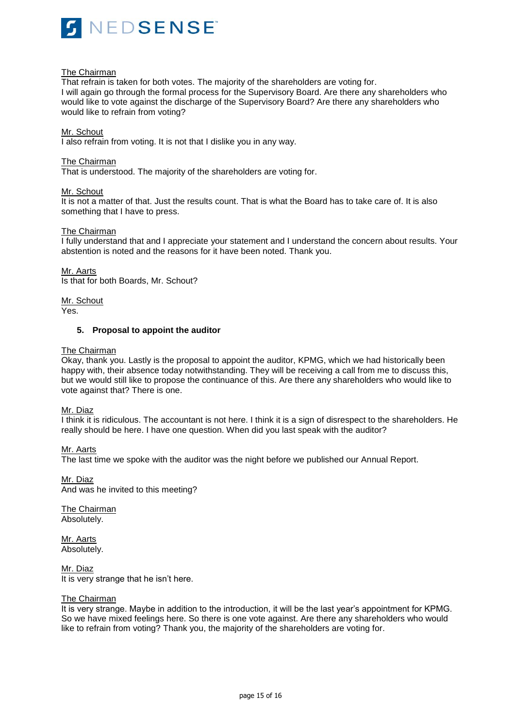

# The Chairman

That refrain is taken for both votes. The majority of the shareholders are voting for. I will again go through the formal process for the Supervisory Board. Are there any shareholders who would like to vote against the discharge of the Supervisory Board? Are there any shareholders who would like to refrain from voting?

#### Mr. Schout

I also refrain from voting. It is not that I dislike you in any way.

### The Chairman

That is understood. The majority of the shareholders are voting for.

### Mr. Schout

It is not a matter of that. Just the results count. That is what the Board has to take care of. It is also something that I have to press.

### The Chairman

I fully understand that and I appreciate your statement and I understand the concern about results. Your abstention is noted and the reasons for it have been noted. Thank you.

Mr. Aarts Is that for both Boards, Mr. Schout?

Mr. Schout

Yes.

## **5. Proposal to appoint the auditor**

### The Chairman

Okay, thank you. Lastly is the proposal to appoint the auditor, KPMG, which we had historically been happy with, their absence today notwithstanding. They will be receiving a call from me to discuss this, but we would still like to propose the continuance of this. Are there any shareholders who would like to vote against that? There is one.

Mr. Diaz

I think it is ridiculous. The accountant is not here. I think it is a sign of disrespect to the shareholders. He really should be here. I have one question. When did you last speak with the auditor?

# Mr. Aarts

The last time we spoke with the auditor was the night before we published our Annual Report.

Mr. Diaz And was he invited to this meeting?

The Chairman Absolutely.

Mr. Aarts Absolutely.

Mr. Diaz It is very strange that he isn't here.

#### The Chairman

It is very strange. Maybe in addition to the introduction, it will be the last year's appointment for KPMG. So we have mixed feelings here. So there is one vote against. Are there any shareholders who would like to refrain from voting? Thank you, the majority of the shareholders are voting for.